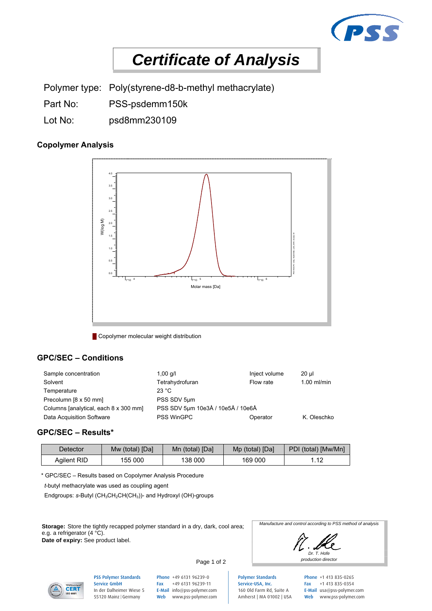

# *Certificate of Analysis*

Polymer type: Poly(styrene-d8-b-methyl methacrylate)

- Part No: PSS-psdemm150k
- Lot No: psd8mm230109

## **Copolymer Analysis**



**Copolymer molecular weight distribution** 

## **GPC/SEC – Conditions**

| Sample concentration                  | 1,00 $q/l$                        | Inject volume | 20 ul         |
|---------------------------------------|-----------------------------------|---------------|---------------|
| Solvent                               | Tetrahydrofuran                   | Flow rate     | $1.00$ ml/min |
| Temperature                           | 23 °C                             |               |               |
| Precolumn [8 x 50 mm]                 | PSS SDV 5um                       |               |               |
| Columns [analytical, each 8 x 300 mm] | PSS SDV 5um 10e3Å / 10e5Å / 10e6Å |               |               |
| Data Acquisition Software             | <b>PSS WinGPC</b>                 | Operator      | K. Oleschko   |

## **GPC/SEC – Results\***

| Detector    | Mw (total) [Da] | Mn (total) [Da] | Mp (total) [Da] | PDI (total) [Mw/Mn] |
|-------------|-----------------|-----------------|-----------------|---------------------|
| Agilent RID | 155 000         | 138 000         | 169 000         | 1.12                |

\* GPC/SEC – Results based on Copolymer Analysis Procedure

 *t*-butyl methacrylate was used as coupling agent

Endgroups: s-Butyl (CH<sub>3</sub>CH<sub>2</sub>CH(CH<sub>3</sub>))- and Hydroxyl (OH)-groups

**Storage:** Store the tightly recapped polymer standard in a dry, dark, cool area; e.g. a refrigerator (4 °C). **Date of expiry:** See product label.







PSS Polymer Standards Service GmbH In der Dalheimer Wiese 5 55120 Mainz |Germany

Page 1 of 2

Phone +49 6131 96239-0 Fax +49 6131 96239-11 E-Mail info@pss-polymer.com Web www.pss-polymer.com

Polymer Standards Service-USA, Inc. 160 Old Farm Rd, Suite A Amherst | MA 01002 | USA Phone +1 413 835-0265 Fax +1 413 835-0354 E-Mail usa@pss-polymer.com Web www.pss-polymer.com